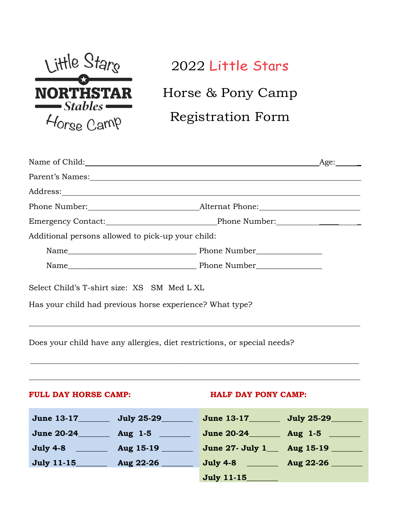

# 2022 Little Stars

Horse & Pony Camp

## Registration Form

| Emergency Contact: Phone Number: Phone Number:                           |  |  |
|--------------------------------------------------------------------------|--|--|
| Additional persons allowed to pick-up your child:                        |  |  |
|                                                                          |  |  |
|                                                                          |  |  |
| Select Child's T-shirt size: XS SM Med L XL                              |  |  |
| Has your child had previous horse experience? What type?                 |  |  |
|                                                                          |  |  |
| Deep vour obild have any ellergies, dist restrictions, or special poods? |  |  |

Does your child have any allergies, diet restrictions, or special needs?

#### FULL DAY HORSE CAMP: **HALF DAY PONY CAMP:**

| <b>June 13-17</b> | July 25-29        |
|-------------------|-------------------|
| <b>July 25-29</b> | <b>June 13-17</b> |
| <b>June 20-24</b> | <b>June 20-24</b> |
| Aug $1-5$         | Aug $1-5$         |
| Aug 15-19         | June 27- July 1   |
| <b>July 4-8</b>   | Aug 15-19         |
| <b>July 11-15</b> | <b>July 4-8</b>   |
| Aug 22-26         | Aug 22-26         |
|                   | <b>July 11-15</b> |

 $\overline{\phantom{a}}$  ,  $\overline{\phantom{a}}$  ,  $\overline{\phantom{a}}$  ,  $\overline{\phantom{a}}$  ,  $\overline{\phantom{a}}$  ,  $\overline{\phantom{a}}$  ,  $\overline{\phantom{a}}$  ,  $\overline{\phantom{a}}$  ,  $\overline{\phantom{a}}$  ,  $\overline{\phantom{a}}$  ,  $\overline{\phantom{a}}$  ,  $\overline{\phantom{a}}$  ,  $\overline{\phantom{a}}$  ,  $\overline{\phantom{a}}$  ,  $\overline{\phantom{a}}$  ,  $\overline{\phantom{a}}$